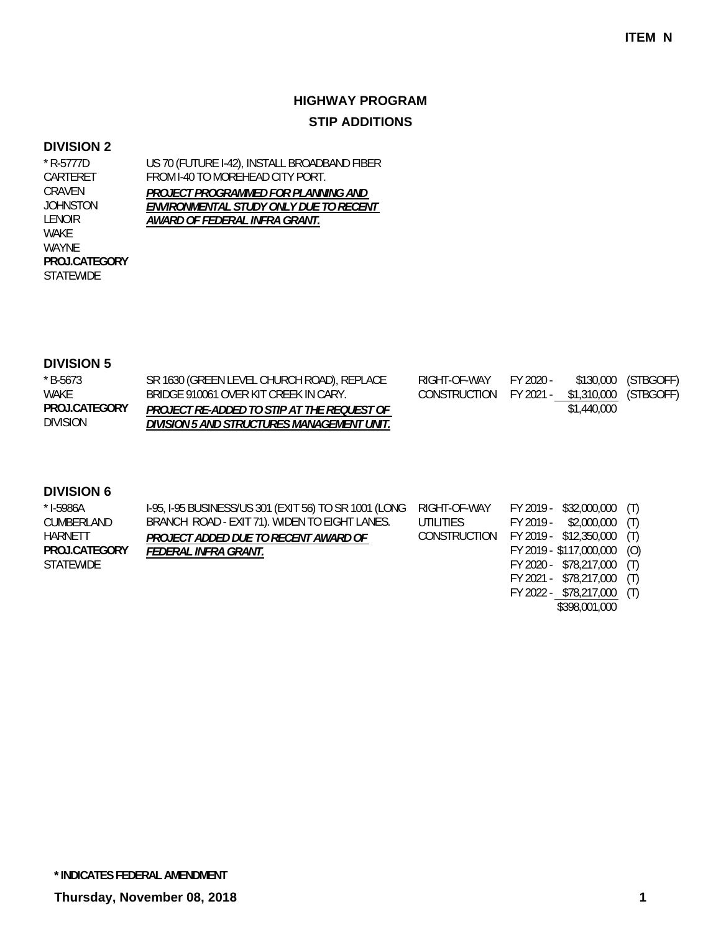## **HIGHWAY PROGRAM STIP ADDITIONS**

#### **DIVISION 2**

CRAVEN

LENOIR WAKE WAYNE

STATEWIDE **PROJ.CATEGORY**

US 70 (FUTURE I-42), INSTALL BROADBAND FIBER FROM I-40 TO MOREHEAD CITY PORT. *PROJECT PROGRAMMED FOR PLANNING AND ENVIRONMENTAL STUDY ONLY DUE TO RECENT AWARD OF FEDERAL INFRA GRANT.* \* R-5777D CARTERET JOHNSTON

### **DIVISION 5**

| $*$ B-5673      | SR 1630 (GREEN LEVEL CHURCH ROAD), REPLACE | RIGHT-OF-WAY                                 | FY 2020 - |             | \$130,000 (STBGOFF) |
|-----------------|--------------------------------------------|----------------------------------------------|-----------|-------------|---------------------|
| WAKE            | BRIDGE 910061 OVER KIT CREEK IN CARY.      | CONSTRUCTION FY 2021 - \$1,310,000 (STBGOFF) |           |             |                     |
| PROJ.CATEGORY   | PROJECT RE-ADDED TO STIP AT THE REQUEST OF |                                              |           | \$1,440,000 |                     |
| <b>DIVISION</b> | DIVISION 5 AND STRUCTURES MANAGEMENT UNIT. |                                              |           |             |                     |

| $*$ I-5986A   | I-95, I-95 BUSINESS/US 301 (EXIT 56) TO SR 1001 (LONG RIGHT-OF-WAY |                                         | FY 2019 - \$32,000,000 (T)  |  |
|---------------|--------------------------------------------------------------------|-----------------------------------------|-----------------------------|--|
| CUMBERLAND    | BRANCH ROAD - EXIT 71). WIDEN TO EIGHT LANES.                      | UTILITIES                               | $FY 2019 - $2,000,000$ (T)  |  |
| HARNETT       | PROJECT ADDED DUE TO RECENT AWARD OF                               | CONSTRUCTION FY 2019 - \$12,350,000 (T) |                             |  |
| PROJ.CATEGORY | FEDERAL INFRA GRANT.                                               |                                         | FY 2019 - \$117,000,000 (O) |  |
| STATEWIDE     |                                                                    |                                         | FY 2020 - \$78,217,000 (T)  |  |

- FY 2021 \$78,217,000 (T)
- FY 2022 \$78,217,000 (T) \$398,001,000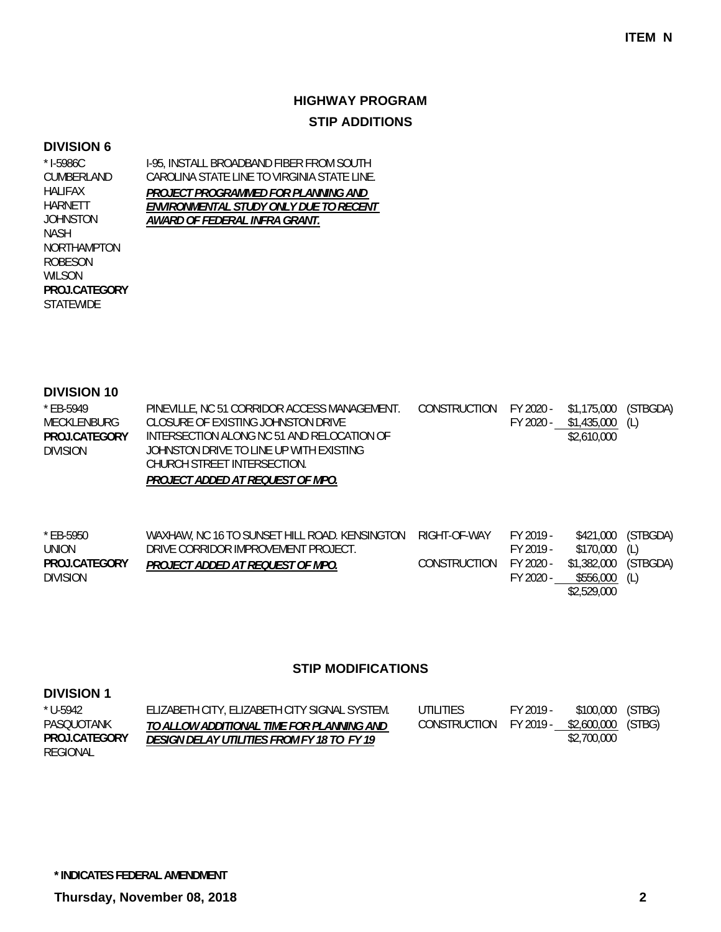## **HIGHWAY PROGRAM STIP ADDITIONS**

#### **DIVISION 6**

NORTHAMPTON ROBESON WILSON

**STATEWIDE PROJ.CATEGORY**

\* I-5986C

HALIFAX HARNETT JOHNSTON NASH

I-95, INSTALL BROADBAND FIBER FROM SOUTH CAROLINA STATE LINE TO VIRGINIA STATE LINE. *PROJECT PROGRAMMED FOR PLANNING AND ENVIRONMENTAL STUDY ONLY DUE TO RECENT AWARD OF FEDERAL INFRA GRANT.* CUMBERLAND

#### **DIVISION 10**

| * EB-5949            | PINEVILLE, NC 51 CORRIDOR ACCESS MANAGEMENT. | CONSTRUCTION FY 2020 - \$1,175,000 (STBGDA) |           |             |     |
|----------------------|----------------------------------------------|---------------------------------------------|-----------|-------------|-----|
| MECKLENBURG          | CLOSURE OF EXISTING JOHNSTON DRIVE           |                                             | FY 2020 - | \$1,435,000 | (L) |
| <b>PROJ CATEGORY</b> | INTERSECTION ALONG NC 51 AND RELOCATION OF   |                                             |           | \$2,610,000 |     |
| DIVISION             | JOHNSTON DRIVE TO LINE UP WITH EXISTING      |                                             |           |             |     |
|                      | CHURCH STREET INTERSECTION.                  |                                             |           |             |     |
|                      | PROJECT ADDED AT REQUEST OF MPO.             |                                             |           |             |     |

| * EB-5950       | WAXHAW, NC 16 TO SUNSET HILL ROAD. KENSINGTON | RIGHT-OF-WAY | FY 2019 - |                      | \$421,000 (STBGDA) |
|-----------------|-----------------------------------------------|--------------|-----------|----------------------|--------------------|
| UNION           | DRIVE CORRIDOR IMPROVEMENT PROJECT.           |              | FY 2019 - | \$170,000 (L)        |                    |
| PROJ.CATEGORY   | PROJECT ADDED AT REQUEST OF MPO.              | CONSTRUCTION | FY 2020 - | \$1,382,000 (STBGDA) |                    |
| <b>DIVISION</b> |                                               |              | FY 2020 - | $$556,000$ (L)       |                    |
|                 |                                               |              |           | \$2,529,000          |                    |

#### **STIP MODIFICATIONS**

| $*$ U-5942      | ELIZABETH CITY, ELIZABETH CITY SIGNAL SYSTEM. | UTILITIES    | FY 2019 - | \$100,000 (STBG)             |  |
|-----------------|-----------------------------------------------|--------------|-----------|------------------------------|--|
| PASQUOTANK      | TO ALLOW ADDITIONAL TIME FOR PLANNING AND     | CONSTRUCTION |           | FY 2019 - \$2,600,000 (STBG) |  |
| PROJ.CATEGORY   | DESIGN DELAY UTILITIES FROM FY 18 TO FY 19    |              |           | \$2,700,000                  |  |
| <b>REGIONAL</b> |                                               |              |           |                              |  |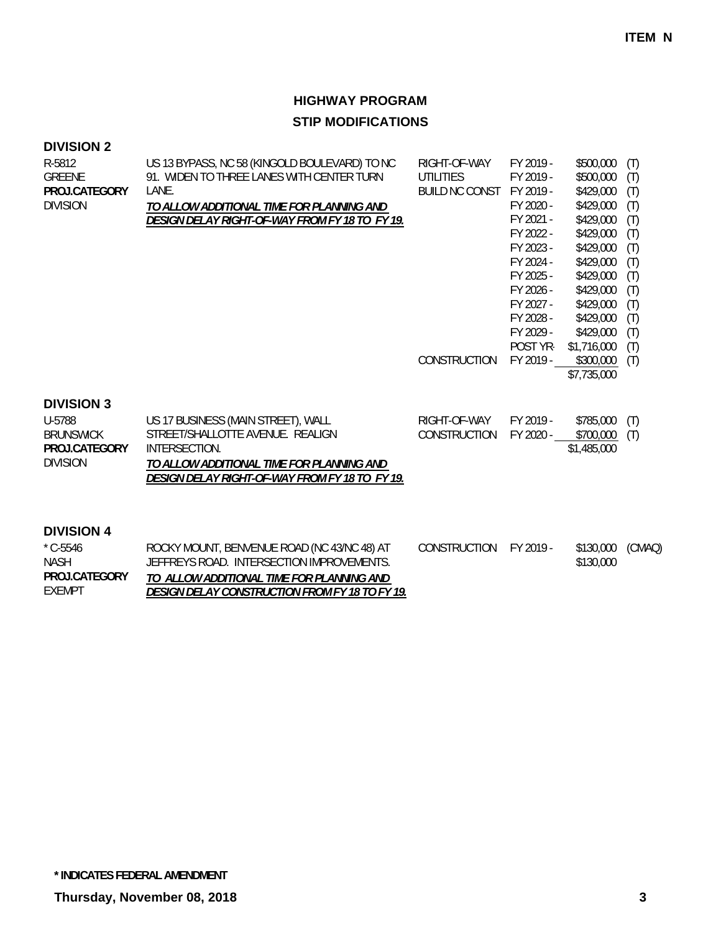## **DIVISION 2**

| R-5812          | US 13 BYPASS, NC 58 (KINGOLD BOULEVARD) TO NC  | RIGHT-OF-WAY        | FY 2019 - | \$500,000   | (T) |
|-----------------|------------------------------------------------|---------------------|-----------|-------------|-----|
| GREENE          | 91. WIDEN TO THREE LANES WITH CENTER TURN      | UTILITIES           | FY 2019 - | \$500,000   | (T) |
| PROJ.CATEGORY   | LANE.                                          | BUILD NC CONST      | FY 2019 - | \$429,000   | (T) |
| <b>DIVISION</b> | TO ALLOW ADDITIONAL TIME FOR PLANNING AND      |                     | FY 2020 - | \$429,000   | (T) |
|                 | DESIGN DELAY RIGHT-OF-WAY FROM FY 18 TO FY 19. |                     | FY 2021 - | \$429,000   | (T) |
|                 |                                                |                     | FY 2022 - | \$429,000   | (T) |
|                 |                                                |                     | FY 2023 - | \$429,000   | (T) |
|                 |                                                |                     | FY 2024 - | \$429,000   | (T) |
|                 |                                                |                     | FY 2025 - | \$429,000   | (T) |
|                 |                                                |                     | FY 2026 - | \$429,000   | (T) |
|                 |                                                |                     | FY 2027 - | \$429,000   | (T) |
|                 |                                                |                     | FY 2028 - | \$429,000   | (T) |
|                 |                                                |                     | FY 2029 - | \$429,000   | (T) |
|                 |                                                |                     | POST YR-  | \$1,716,000 | (T) |
|                 |                                                | <b>CONSTRUCTION</b> | FY 2019 - | \$300,000   | (T) |
|                 |                                                |                     |           | \$7,735,000 |     |
|                 |                                                |                     |           |             |     |
| .               |                                                |                     |           |             |     |

#### **DIVISION 3**

| U-5788           | US 17 BUSINESS (MAIN STREET), WALL             | RIGHT-OF-WAY           | FY 2019 - | $$785,000$ (T) |
|------------------|------------------------------------------------|------------------------|-----------|----------------|
| <b>BRUNSWICK</b> | STREET/SHALLOTTE AVENUE. REALIGN               | CONSTRUCTION FY 2020 - |           | $$700,000$ (T) |
| PROJ.CATEGORY    | INTERSECTION.                                  |                        |           | \$1,485,000    |
| <b>DIVISION</b>  | TO ALLOW ADDITIONAL TIME FOR PLANNING AND      |                        |           |                |
|                  | DESIGN DELAY RIGHT-OF-WAY FROM FY 18 TO FY 19. |                        |           |                |

| $^*$ C-5546   | ROCKY MOUNT, BENVENUE ROAD (NC 43/NC 48) AT    | CONSTRUCTION FY 2019 - | \$130,000 (CMAQ) |  |
|---------------|------------------------------------------------|------------------------|------------------|--|
| <b>NASH</b>   | JEFFREYS ROAD. INTERSECTION IMPROVEMENTS.      |                        | \$130,000        |  |
| PROJ.CATEGORY | TO ALLOW ADDITIONAL TIME FOR PLANNING AND      |                        |                  |  |
| EXEMPT        | DESIGN DELAY CONSTRUCTION FROM FY 18 TO FY 19. |                        |                  |  |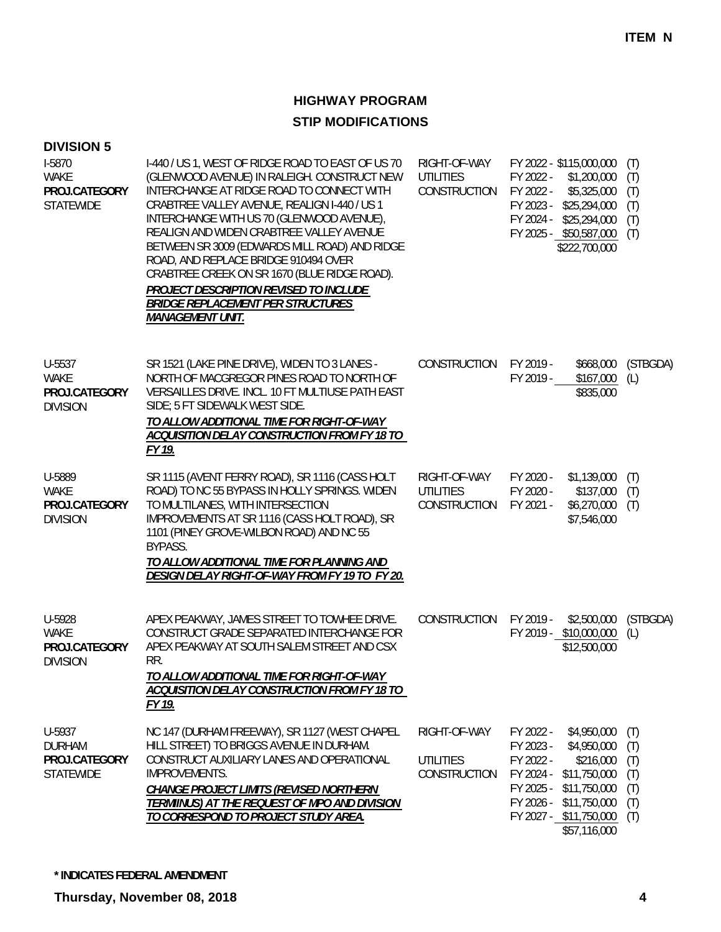| <b>DIVISION 5</b>                                            |                                                                                                                                                                                                                                                                                                                                                                                                                                                                                                                                                  |                                                  |                                                                            |                                                                                                                                   |                                               |
|--------------------------------------------------------------|--------------------------------------------------------------------------------------------------------------------------------------------------------------------------------------------------------------------------------------------------------------------------------------------------------------------------------------------------------------------------------------------------------------------------------------------------------------------------------------------------------------------------------------------------|--------------------------------------------------|----------------------------------------------------------------------------|-----------------------------------------------------------------------------------------------------------------------------------|-----------------------------------------------|
| I-5870<br><b>WAKE</b><br>PROJ.CATEGORY<br><b>STATEWIDE</b>   | I-440 / US 1, WEST OF RIDGE ROAD TO EAST OF US 70<br>(GLENWOOD AVENUE) IN RALEIGH. CONSTRUCT NEW<br>INTERCHANGE AT RIDGE ROAD TO CONNECT WITH<br>CRABTREE VALLEY AVENUE, REALIGN I-440 / US 1<br>INTERCHANGE WITH US 70 (GLENWOOD AVENUE),<br>REALIGN AND WIDEN CRABTREE VALLEY AVENUE<br>BETWEEN SR 3009 (EDWARDS MILL ROAD) AND RIDGE<br>ROAD, AND REPLACE BRIDGE 910494 OVER<br>CRABTREE CREEK ON SR 1670 (BLUE RIDGE ROAD).<br>PROJECT DESCRIPTION REVISED TO INCLUDE<br><b>BRIDGE REPLACEMENT PER STRUCTURES</b><br><b>MANAGEMENT UNIT.</b> | RIGHT-OF-WAY<br><b>UTILITIES</b><br>CONSTRUCTION | FY 2022 -<br>FY 2022 -<br>FY 2023 -<br>FY 2024 -                           | FY 2022 - \$115,000,000<br>\$1,200,000<br>\$5,325,000<br>\$25,294,000<br>\$25,294,000<br>FY 2025 - \$50,587,000<br>\$222,700,000  | (T)<br>(T)<br>(T)<br>(T)<br>(T)<br>(T)        |
| U-5537<br><b>WAKE</b><br>PROJ.CATEGORY<br><b>DIVISION</b>    | SR 1521 (LAKE PINE DRIVE), WIDEN TO 3 LANES -<br>NORTH OF MACGREGOR PINES ROAD TO NORTH OF<br>VERSAILLES DRIVE. INCL. 10 FT MULTIUSE PATH EAST<br>SIDE; 5 FT SIDEWALK WEST SIDE.<br>TO ALLOW ADDITIONAL TIME FOR RIGHT-OF-WAY<br>ACQUISITION DELAY CONSTRUCTION FROM FY 18 TO<br>FY 19.                                                                                                                                                                                                                                                          | CONSTRUCTION                                     | FY 2019 -<br>FY 2019 -                                                     | \$668,000<br>\$167,000<br>\$835,000                                                                                               | (STBGDA)<br>(L)                               |
| U-5889<br>WAKE<br>PROJ.CATEGORY<br><b>DIVISION</b>           | SR 1115 (AVENT FERRY ROAD), SR 1116 (CASS HOLT<br>ROAD) TO NC 55 BYPASS IN HOLLY SPRINGS. WIDEN<br>TO MULTILANES, WITH INTERSECTION<br>IMPROVEMENTS AT SR 1116 (CASS HOLT ROAD), SR<br>1101 (PINEY GROVE-WILBON ROAD) AND NC 55<br>BYPASS.<br>TO ALLOW ADDITIONAL TIME FOR PLANNING AND<br>DESIGN DELAY RIGHT-OF-WAY FROM FY 19 TO FY 20.                                                                                                                                                                                                        | RIGHT-OF-WAY<br><b>UTILITIES</b><br>CONSTRUCTION | FY 2020 -<br>FY 2020 -<br>FY 2021 -                                        | \$1,139,000<br>\$137,000<br>\$6,270,000<br>\$7,546,000                                                                            | (T)<br>(T)<br>(T)                             |
| U-5928<br>WAKE<br>PROJ.CATEGORY<br><b>DIVISION</b>           | APEX PEAKWAY, JAMES STREET TO TOWHEE DRIVE.<br>CONSTRUCT GRADE SEPARATED INTERCHANGE FOR<br>APEX PEAKWAY AT SOUTH SALEM STREET AND CSX<br>RR.<br>TO ALLOW ADDITIONAL TIME FOR RIGHT-OF-WAY<br>ACQUISITION DELAY CONSTRUCTION FROM FY 18 TO<br>FY 19.                                                                                                                                                                                                                                                                                             | CONSTRUCTION                                     | FY 2019 -                                                                  | \$2,500,000<br>FY 2019 - \$10,000,000<br>\$12,500,000                                                                             | (STBGDA)<br>(L)                               |
| U-5937<br><b>DURHAM</b><br>PROJ.CATEGORY<br><b>STATEWIDE</b> | NC 147 (DURHAM FREEWAY), SR 1127 (WEST CHAPEL<br>HILL STREET) TO BRIGGS AVENUE IN DURHAM.<br>CONSTRUCT AUXILIARY LANES AND OPERATIONAL<br><b>IMPROVEMENTS.</b><br>CHANGE PROJECT LIMITS (REVISED NORTHERN<br>TERMIINUS) AT THE REQUEST OF MPO AND DIVISION<br>TO CORRESPOND TO PROJECT STUDY AREA.                                                                                                                                                                                                                                               | RIGHT-OF-WAY<br><b>UTILITIES</b><br>CONSTRUCTION | FY 2022 -<br>FY 2023 -<br>FY 2022 -<br>FY 2024 -<br>FY 2025 -<br>FY 2026 - | \$4,950,000<br>\$4,950,000<br>\$216,000<br>\$11,750,000<br>\$11,750,000<br>\$11,750,000<br>FY 2027 - \$11,750,000<br>\$57,116,000 | (T)<br>(T)<br>(T)<br>(T)<br>(T)<br>(T)<br>(T) |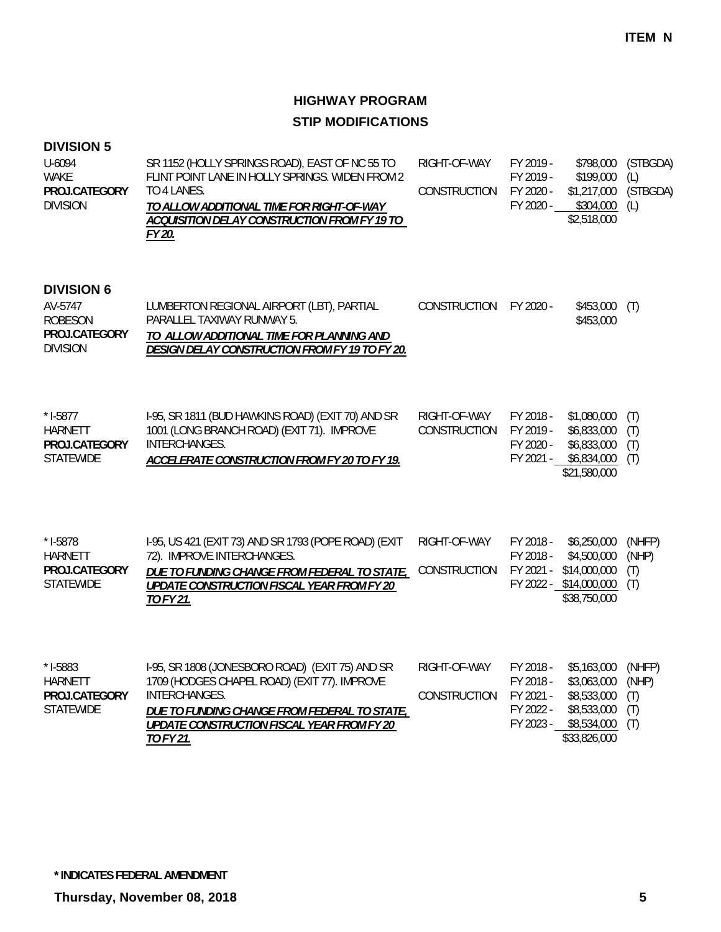### **DIVISION 5**

| U-6094<br>WAKE  | SR 1152 (HOLLY SPRINGS ROAD), EAST OF NC 55 TO<br>FLINT POINT LANE IN HOLLY SPRINGS. WIDEN FROM 2 | RIGHT-OF-WAY | FY 2019 -<br>FY 2019 - | $$199,000$ (L)                | \$798,000 (STBGDA) |
|-----------------|---------------------------------------------------------------------------------------------------|--------------|------------------------|-------------------------------|--------------------|
| PROJ.CATEGORY   | TO 4 LANES.                                                                                       | CONSTRUCTION | FY 2020 -              | \$1,217,000                   | (STBGDA)           |
| <b>DIVISION</b> | TO ALLOW ADDITIONAL TIME FOR RIGHT-OF-WAY<br>ACQUISITION DELAY CONSTRUCTION FROM FY 19 TO         |              | FY 2020 -              | $$304,000$ (L)<br>\$2,518,000 |                    |
|                 | FY 20.                                                                                            |              |                        |                               |                    |

## **DIVISION 6**

| AV-5747         | LUMBERTON REGIONAL AIRPORT (LBT), PARTIAL      | CONSTRUCTION | FY 2020 - | $$453,000$ (T) |
|-----------------|------------------------------------------------|--------------|-----------|----------------|
| ROBESON         | PARALLEL TAXIWAY RUNWAY 5.                     |              |           | \$453,000      |
| PROJ.CATEGORY   | TO ALLOW ADDITIONAL TIME FOR PLANNING AND      |              |           |                |
| <b>DIVISION</b> | DESIGN DELAY CONSTRUCTION FROM FY 19 TO FY 20. |              |           |                |
|                 |                                                |              |           |                |

| $*$ 1-5877           | 1-95, SR 1811 (BUD HAWKINS ROAD) (EXIT 70) AND SR | RIGHT-OF-WAY           | FY 2018 - | $$1,080,000$ (T) |  |
|----------------------|---------------------------------------------------|------------------------|-----------|------------------|--|
| HARNETT              | 1001 (LONG BRANCH ROAD) (EXIT 71). IMPROVE        | CONSTRUCTION FY 2019 - |           | \$6,833,000 (T)  |  |
| <b>PROJ CATEGORY</b> | INTERCHANGES.                                     |                        | FY 2020 - | \$6,833,000 (T)  |  |
| <b>STATEWIDE</b>     | ACCELERATE CONSTRUCTION FROM FY 20 TO FY 19.      |                        | FY 2021 - | \$6,834,000 (T)  |  |

\$21,580,000

| $*$ 1-5878    | 1-95, US 421 (EXIT 73) AND SR 1793 (POPE ROAD) (EXIT | RIGHT-OF-WAY FY 2018 -                  |           | \$6,250,000                  | (NHFP) |
|---------------|------------------------------------------------------|-----------------------------------------|-----------|------------------------------|--------|
| HARNETT       | 72). IMPROVE INTERCHANGES.                           |                                         | FY 2018 - | \$4,500,000                  | (NHP)  |
| PROJ.CATEGORY | DUE TO FUNDING CHANGE FROM FEDERAL TO STATE,         | CONSTRUCTION FY 2021 - \$14,000,000 (T) |           |                              |        |
| STATEWIDE     | UPDATE CONSTRUCTION FISCAL YEAR FROM FY 20           |                                         |           | $FY$ 2022 - \$14,000,000 (T) |        |
|               | TO FY 21.                                            |                                         |           | \$38,750,000                 |        |
|               |                                                      |                                         |           |                              |        |

| $*$ 1-5883    | I-95, SR 1808 (JONESBORO ROAD) (EXIT 75) AND SR | RIGHT-OF-WAY           | FY 2018 - | \$5,163,000  | (NHFP) |
|---------------|-------------------------------------------------|------------------------|-----------|--------------|--------|
| HARNETT       | 1709 (HODGES CHAPEL ROAD) (EXIT 77). IMPROVE    |                        | FY 2018 - | \$3,063,000  | (NHP)  |
| PROJ.CATEGORY | INTERCHANGES.                                   | CONSTRUCTION FY 2021 - |           | \$8,533,000  | (T)    |
| STATEWIDE     | DUE TO FUNDING CHANGE FROM FEDERAL TO STATE,    |                        | FY 2022 - | \$8,533,000  | (T)    |
|               | UPDATE CONSTRUCTION FISCAL YEAR FROM FY 20      |                        | FY 2023 - | \$8,534,000  | (T)    |
|               | TO FY 21.                                       |                        |           | \$33,826,000 |        |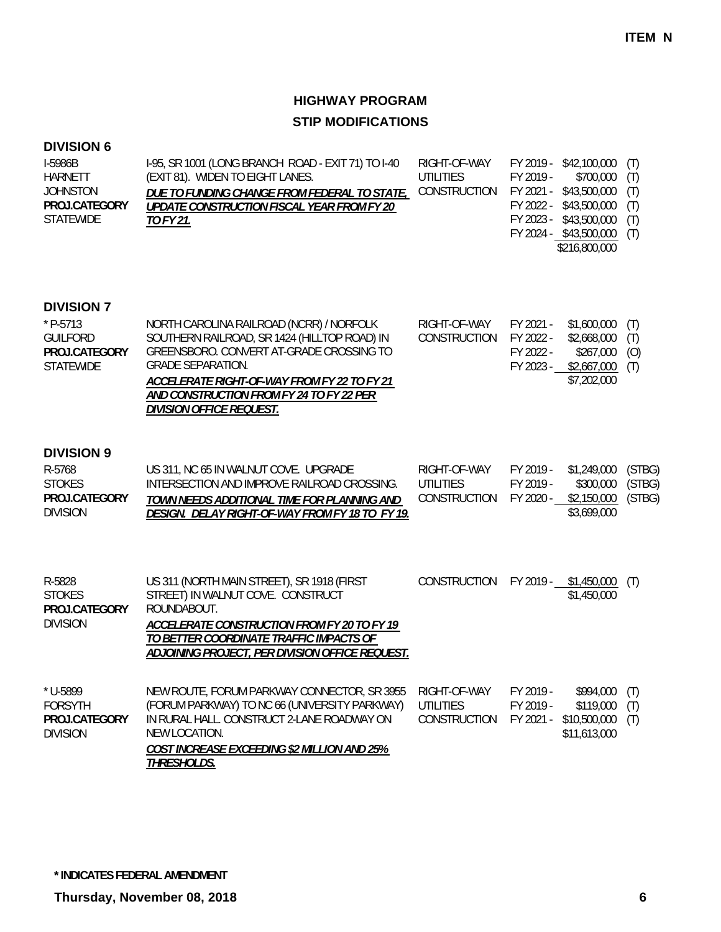### **DIVISION 6**

| I-5986B       | 1-95, SR 1001 (LONG BRANCH ROAD - EXIT 71) TO 1-40 | RIGHT-OF-WAY                            |           | FY 2019 - \$42,100,000 (T) |  |
|---------------|----------------------------------------------------|-----------------------------------------|-----------|----------------------------|--|
| HARNETT       | (EXIT 81). WIDEN TO EIGHT LANES.                   | UTILITIES                               | FY 2019 - | \$700,000 (T)              |  |
| JOHNSTON      | DUE TO FUNDING CHANGE FROM FEDERAL TO STATE,       | CONSTRUCTION FY 2021 - \$43,500,000 (T) |           |                            |  |
| PROJ.CATEGORY | UPDATE CONSTRUCTION FISCAL YEAR FROM FY 20         |                                         |           | FY 2022 - \$43,500,000 (T) |  |
| STATEWIDE     | TO FY 21.                                          |                                         |           | FY 2023 - \$43,500,000 (T) |  |
|               |                                                    |                                         |           | FY 2024 - \$43,500,000 (T) |  |
|               |                                                    |                                         |           | \$216,800,000              |  |

| $*$ P-5713<br>GUILFORD<br>PROJ.CATEGORY<br>STATEWIDE | NORTH CAROLINA RAILROAD (NCRR) / NORFOLK<br>SOUTHERN RAILROAD, SR 1424 (HILLTOP ROAD) IN<br>GREENSBORO, CONVERT AT-GRADE CROSSING TO<br><b>GRADE SEPARATION.</b><br>ACCELERATE RIGHT-OF-WAY FROM FY 22 TO FY 21 | RIGHT-OF-WAY<br><b>CONSTRUCTION</b> | FY 2021 -<br>FY 2022 -<br>FY 2022 -<br>FY 2023 - | \$1,600,000<br>\$2,668,000<br>\$267,000<br>\$2,667,000<br>\$7,202,000 | (T)<br>(T)<br>(0)<br>(T) |
|------------------------------------------------------|-----------------------------------------------------------------------------------------------------------------------------------------------------------------------------------------------------------------|-------------------------------------|--------------------------------------------------|-----------------------------------------------------------------------|--------------------------|
|                                                      | AND CONSTRUCTION FROM FY 24 TO FY 22 PER<br>DIVISION OFFICE REQUEST.                                                                                                                                            |                                     |                                                  |                                                                       |                          |
| <b>DIVISION 9</b><br>R-5768                          | US 311, NC 65 IN WALNUT COVE. UPGRADE                                                                                                                                                                           | RIGHT-OF-WAY                        | FY 2019 -                                        | \$1,249,000                                                           | (STBG)                   |

| $11 - 3100$     | <b>US STILLING OS IN WALINGT COVE.</b> OF OINABL | $\frac{1}{1}$ $\frac{1}{1}$ $\frac{1}{1}$ $\frac{1}{1}$ $\frac{1}{1}$ $\frac{1}{1}$ $\frac{1}{1}$ $\frac{1}{1}$ $\frac{1}{1}$ $\frac{1}{1}$ $\frac{1}{1}$ |           | UULIU UUU, THILLU |  |
|-----------------|--------------------------------------------------|-----------------------------------------------------------------------------------------------------------------------------------------------------------|-----------|-------------------|--|
| <b>STOKES</b>   | INTERSECTION AND IMPROVE RAILROAD CROSSING.      | UTILITIES                                                                                                                                                 | FY 2019 - | \$300,000 (STBG)  |  |
| PROJ.CATEGORY   | TOWN NEEDS ADDITIONAL TIME FOR PLANNING AND      | CONSTRUCTION FY 2020 - \$2,150,000 (STBG)                                                                                                                 |           |                   |  |
| <b>DIVISION</b> | DESIGN. DELAY RIGHT-OF-WAY FROM FY 18 TO FY 19.  |                                                                                                                                                           |           | \$3,699,000       |  |
|                 |                                                  |                                                                                                                                                           |           |                   |  |

| R-5828<br><b>STOKES</b><br>PROJ.CATEGORY<br><b>DIVISION</b>      | US 311 (NORTH MAIN STREET), SR 1918 (FIRST<br>STREET) IN WALNUT COVE. CONSTRUCT<br>ROUNDABOUT.<br>ACCELERATE CONSTRUCTION FROM FY 20 TO FY 19<br>TO BETTER COORDINATE TRAFFIC IMPACTS OF<br>ADJOINING PROJECT, PER DIVISION OFFICE REQUEST. | CONSTRUCTION                              | FY 2019 -                           | \$1,450,000<br>\$1,450,000                             | (T)               |
|------------------------------------------------------------------|---------------------------------------------------------------------------------------------------------------------------------------------------------------------------------------------------------------------------------------------|-------------------------------------------|-------------------------------------|--------------------------------------------------------|-------------------|
| $*$ U-5899<br><b>FORSYTH</b><br>PROJ.CATEGORY<br><b>DIVISION</b> | NEW ROUTE, FORUM PARKWAY CONNECTOR, SR 3955<br>(FORUM PARKWAY) TO NC 66 (UNIVERSITY PARKWAY)<br>IN RURAL HALL, CONSTRUCT 2-LANE ROADWAY ON<br>NEW LOCATION.<br><b>COST INCREASE EXCEEDING \$2 MILLION AND 25%</b><br>THRESHOLDS.            | RIGHT-OF-WAY<br>UTILITIES<br>CONSTRUCTION | FY 2019 -<br>FY 2019 -<br>FY 2021 - | \$994,000<br>\$119,000<br>\$10,500,000<br>\$11,613,000 | (T)<br>(T)<br>(T) |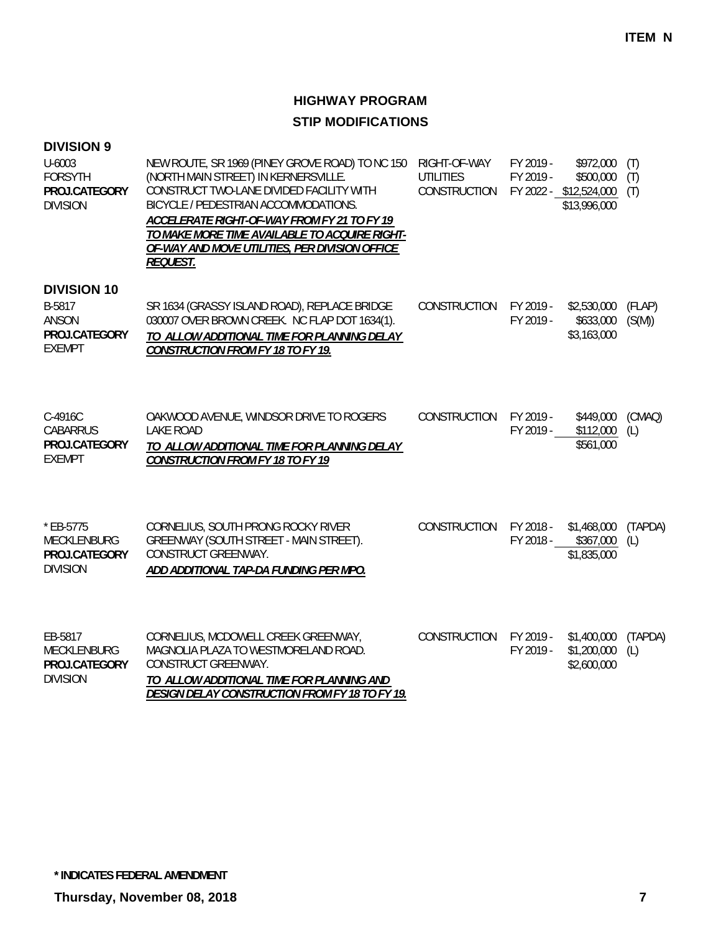| <b>DIVISION 9</b><br>U-6003<br><b>FORSYTH</b><br>PROJ.CATEGORY<br><b>DIVISION</b> | NEW ROUTE, SR 1969 (PINEY GROVE ROAD) TO NC 150<br>(NORTH MAIN STREET) IN KERNERSVILLE.<br>CONSTRUCT TWO-LANE DIVIDED FACILITY WITH<br>BICYCLE / PEDESTRIAN ACCOMMODATIONS.<br>ACCELERATE RIGHT-OF-WAY FROM FY 21 TO FY 19<br>TO MAKE MORE TIME AVAILABLE TO ACQUIRE RIGHT-<br>OF-WAY AND MOVE UTILITIES, PER DIVISION OFFICE<br><b>REQUEST.</b> | RIGHT-OF-WAY<br><b>UTILITIES</b><br>CONSTRUCTION | FY 2019 -<br>FY 2019 - | \$972,000<br>\$500,000<br>FY 2022 - \$12,524,000<br>\$13,996,000 | (T)<br>(T)<br>(T) |
|-----------------------------------------------------------------------------------|--------------------------------------------------------------------------------------------------------------------------------------------------------------------------------------------------------------------------------------------------------------------------------------------------------------------------------------------------|--------------------------------------------------|------------------------|------------------------------------------------------------------|-------------------|
| <b>DIVISION 10</b><br>B-5817<br><b>ANSON</b><br>PROJ.CATEGORY<br><b>EXEMPT</b>    | SR 1634 (GRASSY ISLAND ROAD), REPLACE BRIDGE<br>030007 OVER BROWN CREEK. NC FLAP DOT 1634(1).<br>TO ALLOW ADDITIONAL TIME FOR PLANNING DELAY<br><b>CONSTRUCTION FROM FY 18 TO FY 19.</b>                                                                                                                                                         | CONSTRUCTION                                     | FY 2019 -<br>FY 2019 - | \$2,530,000<br>\$633,000<br>\$3,163,000                          | (FLAP)<br>(S(M))  |
| C-4916C<br><b>CABARRUS</b><br>PROJ.CATEGORY<br><b>EXEMPT</b>                      | OAKWOOD AVENUE, WINDSOR DRIVE TO ROGERS<br><b>LAKE ROAD</b><br>TO ALLOW ADDITIONAL TIME FOR PLANNING DELAY<br><b>CONSTRUCTION FROM FY 18 TO FY 19</b>                                                                                                                                                                                            | <b>CONSTRUCTION</b>                              | FY 2019 -<br>FY 2019 - | \$449,000<br>\$112,000<br>\$561,000                              | (CMAQ)<br>(L)     |
| * EB-5775<br><b>MECKLENBURG</b><br>PROJ.CATEGORY<br><b>DIVISION</b>               | CORNELIUS, SOUTH PRONG ROCKY RIVER<br>GREENWAY (SOUTH STREET - MAIN STREET).<br>CONSTRUCT GREENWAY.<br>ADD ADDITIONAL TAP-DA FUNDING PER MPO.                                                                                                                                                                                                    | CONSTRUCTION                                     |                        | FY 2018 - \$1,468,000<br>FY 2018 - \$367,000<br>\$1,835,000      | (TAPDA)<br>(L)    |
| EB-5817<br>MECKLENBURG<br>PROJ.CATEGORY<br><b>DIVISION</b>                        | CORNELIUS, MCDOWELL CREEK GREENWAY,<br>MAGNOLIA PLAZA TO WESTMORELAND ROAD.<br>CONSTRUCT GREENWAY.<br>TO ALLOW ADDITIONAL TIME FOR PLANNING AND<br><b>DESIGN DELAY CONSTRUCTION FROM FY 18 TO FY 19.</b>                                                                                                                                         | CONSTRUCTION                                     | FY 2019 -<br>FY 2019 - | \$1,400,000<br>\$1,200,000<br>\$2,600,000                        | (TAPDA)<br>(L)    |

**\* INDICATES FEDERAL AMENDMENT**

**Thursday, November 08, 2018 7**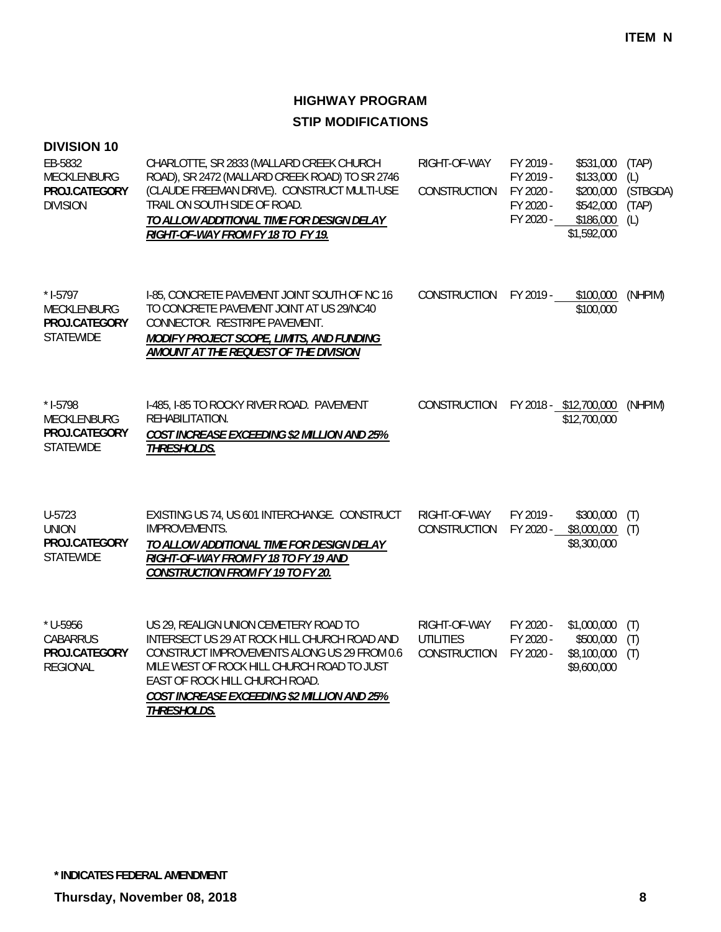| <b>DIVISION 10</b><br>EB-5832<br><b>MECKLENBURG</b><br>PROJ.CATEGORY<br><b>DIVISION</b> | CHARLOTTE, SR 2833 (MALLARD CREEK CHURCH<br>ROAD), SR 2472 (MALLARD CREEK ROAD) TO SR 2746<br>(CLAUDE FREEMAN DRIVE). CONSTRUCT MULTI-USE<br>TRAIL ON SOUTH SIDE OF ROAD.<br>TO ALLOW ADDITIONAL TIME FOR DESIGN DELAY<br>RIGHT-OF-WAY FROM FY 18 TO FY 19.                        | RIGHT-OF-WAY<br><b>CONSTRUCTION</b>                     | FY 2019 -<br>FY 2019 -<br>FY 2020 -<br>FY 2020 -<br>FY 2020 - | \$531,000<br>\$133,000<br>\$200,000<br>\$542,000<br>\$186,000<br>\$1,592,000 | (TAP)<br>(L)<br>(STBGDA)<br>(TAP)<br>(L) |
|-----------------------------------------------------------------------------------------|------------------------------------------------------------------------------------------------------------------------------------------------------------------------------------------------------------------------------------------------------------------------------------|---------------------------------------------------------|---------------------------------------------------------------|------------------------------------------------------------------------------|------------------------------------------|
| $*$ 1-5797<br>MECKLENBURG<br>PROJ.CATEGORY<br><b>STATEWIDE</b>                          | I-85, CONCRETE PAVEMENT JOINT SOUTH OF NC 16<br>TO CONCRETE PAVEMENT JOINT AT US 29/NC40<br>CONNECTOR. RESTRIPE PAVEMENT.<br>MODIFY PROJECT SCOPE, LIMITS, AND FUNDING<br>AMOUNT AT THE REQUEST OF THE DIVISION                                                                    | CONSTRUCTION                                            | FY 2019 -                                                     | \$100,000<br>\$100,000                                                       | (NHPIM)                                  |
| $* I-5798$<br>MECKLENBURG<br>PROJ.CATEGORY<br><b>STATEWIDE</b>                          | I-485, I-85 TO ROCKY RIVER ROAD. PAVEMENT<br>REHABILITATION.<br>COST INCREASE EXCEEDING \$2 MILLION AND 25%<br>THRESHOLDS.                                                                                                                                                         | CONSTRUCTION                                            |                                                               | FY 2018 - \$12,700,000<br>\$12,700,000                                       | (NHPIM)                                  |
| U-5723<br><b>UNION</b><br>PROJ.CATEGORY<br><b>STATEWIDE</b>                             | EXISTING US 74, US 601 INTERCHANGE. CONSTRUCT<br>IMPROVEMENTS.<br>TO ALLOW ADDITIONAL TIME FOR DESIGN DELAY<br>RIGHT-OF-WAY FROM FY 18 TO FY 19 AND<br><b>CONSTRUCTION FROM FY 19 TO FY 20.</b>                                                                                    | RIGHT-OF-WAY<br><b>CONSTRUCTION</b>                     | FY 2019 -<br>FY 2020 -                                        | \$300,000<br>\$8,000,000<br>\$8,300,000                                      | (T)<br>(T)                               |
| * U-5956<br><b>CABARRUS</b><br>PROJ.CATEGORY<br><b>REGIONAL</b>                         | US 29, REALIGN UNION CEMETERY ROAD TO<br>INTERSECT US 29 AT ROCK HILL CHURCH ROAD AND<br>CONSTRUCT IMPROVEMENTS ALONG US 29 FROM 0.6<br>MILE WEST OF ROCK HILL CHURCH ROAD TO JUST<br>EAST OF ROCK HILL CHURCH ROAD.<br>COST INCREASE EXCEEDING \$2 MILLION AND 25%<br>THRESHOLDS. | RIGHT-OF-WAY<br><b>UTILITIES</b><br><b>CONSTRUCTION</b> | FY 2020 -<br>FY 2020 -<br>FY 2020 -                           | \$1,000,000<br>\$500,000<br>\$8,100,000<br>\$9,600,000                       | (T)<br>(T)<br>(T)                        |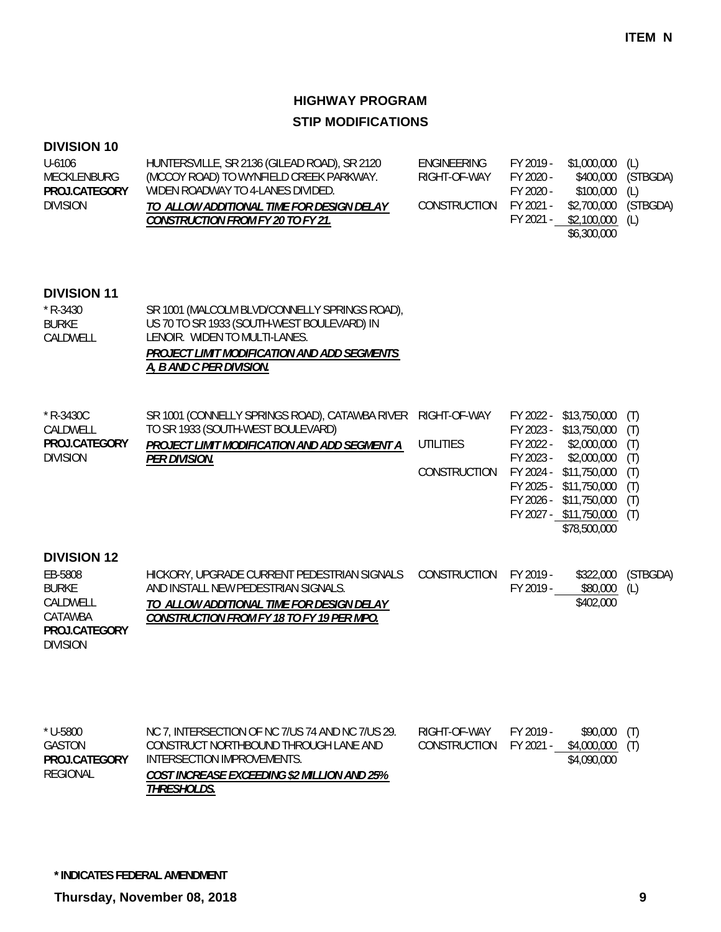### **DIVISION 10**

| U-6106          | HUNTERSVILLE, SR 2136 (GILEAD ROAD), SR 2120 | ENGINEERING  | FY 2019 - | \$1,000,000 (L)      |                    |
|-----------------|----------------------------------------------|--------------|-----------|----------------------|--------------------|
| MECKLENBURG     | (MCCOY ROAD) TO WYNFIELD CREEK PARKWAY.      | RIGHT-OF-WAY | FY 2020 - |                      | \$400,000 (STBGDA) |
| PROJ.CATEGORY   | WIDEN ROADWAY TO 4-LANES DIVIDED.            |              | FY 2020 - | $$100,000$ (L)       |                    |
| <b>DIVISION</b> | TO ALLOW ADDITIONAL TIME FOR DESIGN DELAY    | CONSTRUCTION | FY 2021 - | \$2,700,000 (STBGDA) |                    |
|                 | CONSTRUCTION FROM FY 20 TO FY 21.            |              | FY 2021 - | $$2,100,000$ (L)     |                    |
|                 |                                              |              |           | \$6,300,000          |                    |

### **DIVISION 11**

| $*$ R-3430 | SR 1001 (MALCOLM BLVD/CONNELLY SPRINGS ROAD),      |
|------------|----------------------------------------------------|
| BURKE.     | US 70 TO SR 1933 (SOUTH-WEST BOULEVARD) IN         |
| CALDWELL   | LENOIR. WIDEN TO MULTI-LANES.                      |
|            | <b>PROJECT LIMIT MODIFICATION AND ADD SEGMENTS</b> |
|            | A, B AND C PER DIVISION.                           |

| * R-3430C       | SR 1001 (CONNELLY SPRINGS ROAD), CATAWBA RIVER RIGHT-OF-WAY |                     | FY 2022 - | \$13,750,000           | (T) |
|-----------------|-------------------------------------------------------------|---------------------|-----------|------------------------|-----|
| CALDWELL        | TO SR 1933 (SOUTH-WEST BOULEVARD)                           |                     | FY 2023 - | \$13,750,000           | (T) |
| PROJ.CATEGORY   | PROJECT LIMIT MODIFICATION AND ADD SEGMENT A                | UTILITIES           | FY 2022 - | \$2,000,000            | (T) |
| <b>DIVISION</b> | <i>PER DIVISION.</i>                                        |                     | FY 2023 - | \$2,000,000            | (T) |
|                 |                                                             | <b>CONSTRUCTION</b> | FY 2024 - | \$11,750,000           | (T) |
|                 |                                                             |                     | FY 2025 - | \$11,750,000           | (T) |
|                 |                                                             |                     | FY 2026 - | \$11,750,000           | (T) |
|                 |                                                             |                     |           | FY 2027 - \$11,750,000 | (T) |
|                 |                                                             |                     |           | \$78,500,000           |     |

#### **DIVISION 12**

| EB-5808         | HICKORY, UPGRADE CURRENT PEDESTRIAN SIGNALS | CONSTRUCTION | FY 2019 - |              | \$322,000 (STBGDA) |
|-----------------|---------------------------------------------|--------------|-----------|--------------|--------------------|
| <b>BURKE</b>    | AND INSTALL NEW PEDESTRIAN SIGNALS.         |              | FY 2019 - | \$80,000 (L) |                    |
| CALDWELL        | TO ALLOW ADDITIONAL TIME FOR DESIGN DELAY   |              |           | \$402,000    |                    |
| CATAWBA         | CONSTRUCTION FROM FY 18 TO FY 19 PER MPO.   |              |           |              |                    |
| PROJ.CATEGORY   |                                             |              |           |              |                    |
| <b>DIVISION</b> |                                             |              |           |              |                    |

| * U-5800      | NC 7, INTERSECTION OF NC 7/US 74 AND NC 7/US 29. | RIGHT-OF-WAY           | FY 2019 - | $$90,000$ (T)    |  |
|---------------|--------------------------------------------------|------------------------|-----------|------------------|--|
| GASTON        | CONSTRUCT NORTHBOUND THROUGH LANE AND            | CONSTRUCTION FY 2021 - |           | $$4,000,000$ (T) |  |
| PROJ.CATEGORY | INTERSECTION IMPROVEMENTS.                       |                        |           | \$4,090,000      |  |
| REGIONAL      | COST INCREASE EXCEEDING \$2 MILLION AND 25%      |                        |           |                  |  |
|               | <i>THRESHOLDS.</i>                               |                        |           |                  |  |

**\* INDICATES FEDERAL AMENDMENT**

**Thursday, November 08, 2018 9**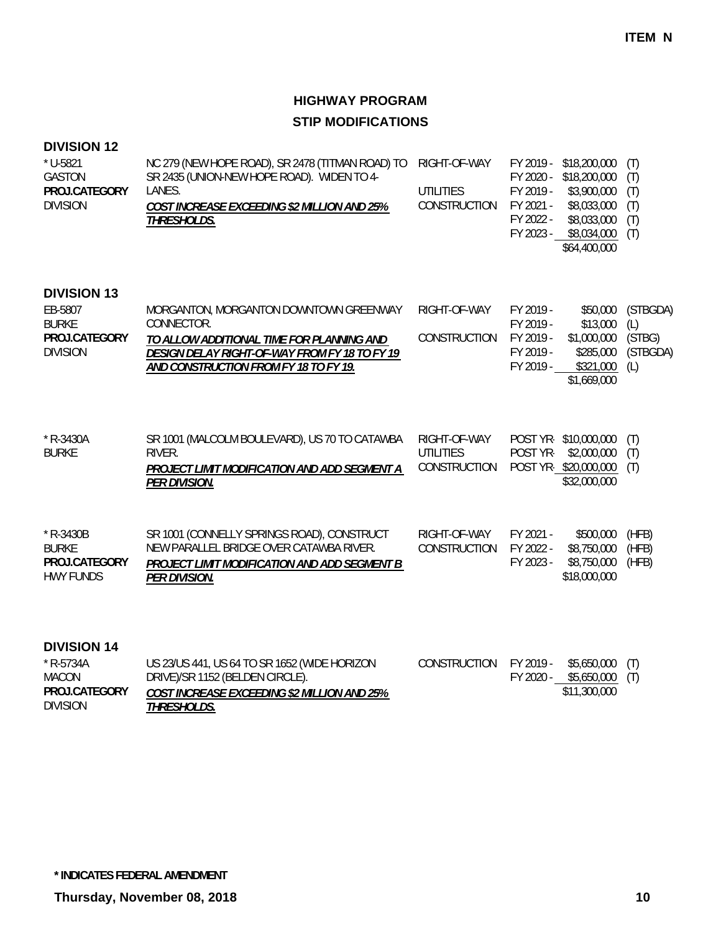## **DIVISION 12**

| * U-5821<br><b>GASTON</b><br>PROJ.CATEGORY<br><b>DIVISION</b>                     | NC 279 (NEW HOPE ROAD), SR 2478 (TITMAN ROAD) TO<br>SR 2435 (UNION-NEW HOPE ROAD). WIDEN TO 4-<br>LANES.<br>COST INCREASE EXCEEDING \$2 MILLION AND 25%<br>THRESHOLDS.                      | RIGHT-OF-WAY<br>UTILITIES<br>CONSTRUCTION        | FY 2019 -<br>\$18,200,000<br>FY 2020 -<br>\$18,200,000<br>FY 2019 -<br>\$3,900,000<br>\$8,033,000<br>FY 2021 -<br>FY 2022 -<br>\$8,033,000<br>FY 2023 -<br>\$8,034,000<br>\$64,400,000 | (T)<br>(T)<br>(T)<br>(T)<br>(T)<br>(T)       |
|-----------------------------------------------------------------------------------|---------------------------------------------------------------------------------------------------------------------------------------------------------------------------------------------|--------------------------------------------------|----------------------------------------------------------------------------------------------------------------------------------------------------------------------------------------|----------------------------------------------|
| <b>DIVISION 13</b><br>EB-5807<br><b>BURKE</b><br>PROJ.CATEGORY<br><b>DIVISION</b> | MORGANTON, MORGANTON DOWNTOWN GREENWAY<br>CONNECTOR.<br>TO ALLOW ADDITIONAL TIME FOR PLANNING AND<br>DESIGN DELAY RIGHT-OF-WAY FROM FY 18 TO FY 19<br>AND CONSTRUCTION FROM FY 18 TO FY 19. | RIGHT-OF-WAY<br>CONSTRUCTION                     | FY 2019 -<br>\$50,000<br>FY 2019 -<br>\$13,000<br>FY 2019 -<br>\$1,000,000<br>FY 2019 -<br>\$285,000<br>FY 2019 -<br>\$321,000<br>\$1,669,000                                          | (STBGDA)<br>(L)<br>(STBG)<br>(STBGDA)<br>(L) |
| $*$ R-3430A<br><b>BURKE</b>                                                       | SR 1001 (MALCOLM BOULEVARD), US 70 TO CATAWBA<br>RIVER.<br>PROJECT LIMIT MODIFICATION AND ADD SEGMENT A<br>PER DIVISION.                                                                    | RIGHT-OF-WAY<br>UTILITIES<br><b>CONSTRUCTION</b> | POST YR-<br>\$10,000,000<br>POST YR-<br>\$2,000,000<br>POST YR-\$20,000,000<br>\$32,000,000                                                                                            | (T)<br>(T)<br>(T)                            |
| $*$ R-3430B<br><b>BURKE</b><br>PROJ.CATEGORY<br><b>HWY FUNDS</b>                  | SR 1001 (CONNELLY SPRINGS ROAD), CONSTRUCT<br>NEW PARALLEL BRIDGE OVER CATAWBA RIVER.<br>PROJECT LIMIT MODIFICATION AND ADD SEGMENT B<br><b>PER DIVISION.</b>                               | RIGHT-OF-WAY<br>CONSTRUCTION                     | FY 2021 -<br>\$500,000<br>\$8,750,000<br>FY 2022 -<br>FY 2023 -<br>\$8,750,000<br>\$18,000,000                                                                                         | (HFB)<br>(HFB)<br>(HFB)                      |

| $*$ R-5734A     | US 23/US 441, US 64 TO SR 1652 (WIDE HORIZON | CONSTRUCTION FY 2019 - | \$5,650,000 (T)             |  |
|-----------------|----------------------------------------------|------------------------|-----------------------------|--|
| MACON           | DRIVE)/SR 1152 (BELDEN CIRCLE).              |                        | $FY$ 2020 - \$5,650,000 (T) |  |
| PROJ.CATEGORY   | COST INCREASE EXCEEDING \$2 MILLION AND 25%  |                        | \$11,300,000                |  |
| <b>DIVISION</b> | <i>THRESHOLDS.</i>                           |                        |                             |  |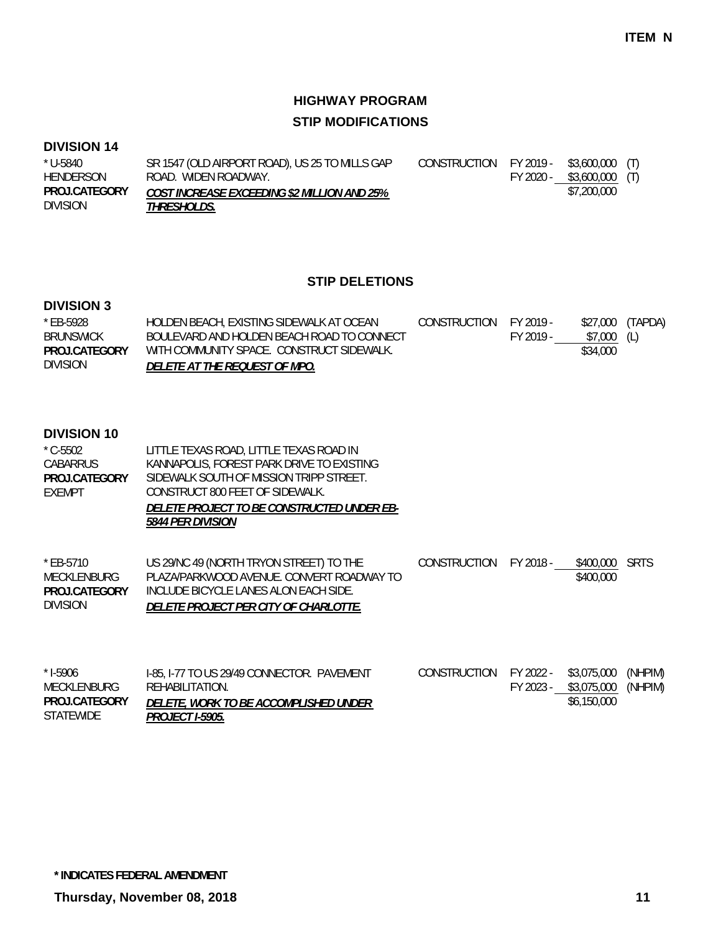## **DIVISION 14**

| * U-5840        | SR 1547 (OLD AIRPORT ROAD), US 25 TO MILLS GAP     | CONSTRUCTION FY 2019 - |           | \$3,600,000 (T) |  |
|-----------------|----------------------------------------------------|------------------------|-----------|-----------------|--|
| HENDERSON       | ROAD. WIDEN ROADWAY.                               |                        | FY 2020 - | \$3,600,000 (T) |  |
| PROJ.CATEGORY   | <b>COST INCREASE EXCEEDING \$2 MILLION AND 25%</b> |                        |           | \$7,200,000     |  |
| <b>DIVISION</b> | <i>THRESHOLDS.</i>                                 |                        |           |                 |  |

#### **STIP DELETIONS**

## **DIVISION 3**

| * EB-5928            | HOLDEN BEACH, EXISTING SIDEWALK AT OCEAN   | CONSTRUCTION | FY 2019 - | \$27,000 | (TAPDA) |
|----------------------|--------------------------------------------|--------------|-----------|----------|---------|
| BRUNSWICK            | BOULEVARD AND HOLDEN BEACH ROAD TO CONNECT |              | FY 2019 - | \$7.000  | (L)     |
| <b>PROJ CATEGORY</b> | WITH COMMUNITY SPACE. CONSTRUCT SIDEWALK.  |              |           | \$34,000 |         |
| <b>DIVISION</b>      | DELETE AT THE REQUEST OF MPO.              |              |           |          |         |

| $^*$ C-5502          | LITTLE TEXAS ROAD, LITTLE TEXAS ROAD IN           |
|----------------------|---------------------------------------------------|
| CABARRUS             | KANNAPOLIS, FOREST PARK DRIVE TO EXISTING         |
| <b>PROJ CATEGORY</b> | SIDEWALK SOUTH OF MISSION TRIPP STREET.           |
| FXFMPT               | CONSTRUCT 800 FEET OF SIDEWALK.                   |
|                      | <i>DELETE PROJECT TO BE CONSTRUCTED UNDER EB-</i> |
|                      | <i>5844 PER DIVISION</i>                          |
|                      |                                                   |

| $*$ FB-5710     | US 29/NC 49 (NORTH TRYON STREET) TO THE      | CONSTRUCTION FY 2018 - | \$400,000 SRTS |  |
|-----------------|----------------------------------------------|------------------------|----------------|--|
| MECKLENBURG     | PLAZA/PARKWOOD AVENUE. CONVERT ROADWAY TO    |                        | \$400,000      |  |
| PROJ.CATEGORY   | INCLUDE BICYCLE LANES ALON EACH SIDE.        |                        |                |  |
| <b>DIVISION</b> | <i>DELETE PROJECT PER CITY OF CHARLOTTE.</i> |                        |                |  |
|                 |                                              |                        |                |  |

| $*$ 1-5906       | I-85, I-77 TO US 29/49 CONNECTOR. PAVEMENT   | CONSTRUCTION FY 2022 - |           | \$3,075,000 (NHPIM) |  |
|------------------|----------------------------------------------|------------------------|-----------|---------------------|--|
| MECKLENBURG      | REHABILITATION.                              |                        | FY 2023 - | \$3,075,000 (NHPIM) |  |
| PROJ.CATEGORY    | <i>DELETE, WORK TO BE ACCOMPLISHED UNDER</i> |                        |           | \$6,150,000         |  |
| <b>STATEWIDE</b> | <i>PROJECT I-5905.</i>                       |                        |           |                     |  |